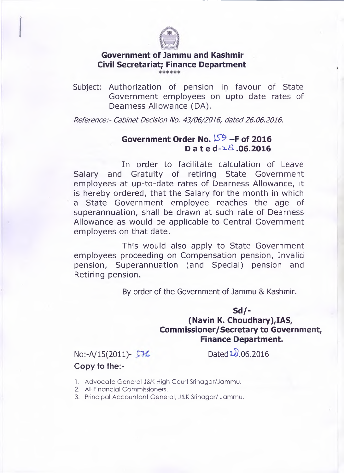

## **Government of Jammu and Kashmir Civil Secretariat; Finance Department**

Subject: Authorization of pension in favour of State Government employees on upto date rates of Dearness Allowance (DA).

*Reference:- Cabinet Decision No. 43/06/2016, dated 26.06.2016.*

## **Government Order No.** *IS ?* **-F of 2016 D a te d -^.06.2016**

In order to facilitate calculation of Leave Salary and Gratuity of retiring State Government employees at up-to-date rates of Dearness Allowance, it is hereby ordered, that the Salary for the month in which a State Government employee reaches the age of superannuation, shall be drawn at such rate of Dearness Allowance as would be applicable to Central Government employees on that date.

This would also apply to State Government employees proceeding on Compensation pension, Invalid pension, Superannuation (and Special) pension and Retiring pension.

By order of the Government of Jammu & Kashmir.

## **Sd/- (Navin K. Choudhary),IAS, Commissioner/Secretary to Government, Finance Department.**

No:-A/15(2011)-  $$76$  Dated  $20.06.2016$ **Copy to the:-**

- 1. Advocate General J&K High Court Srinagar/Jammu.
- 2. All Financial Commissioners.
- 3. Principal Accountant General, J&K Srinagar/ Jammu.